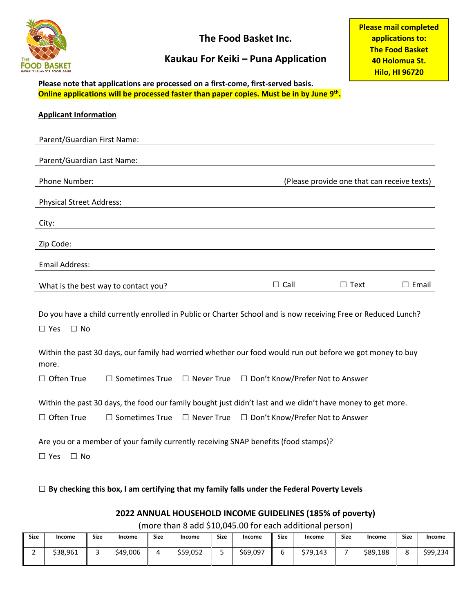

**The Food Basket Inc.**

## **Kaukau For Keiki – Puna Application**

**Please mail completed applications to: The Food Basket 40 Holomua St. Hilo, HI 96720**

**Please note that applications are processed on a first-come, first-served basis. Online applications will be processed faster than paper copies. Must be in by June 9th.**

| <b>Applicant Information</b>                                                                                                              |                                      |                   |                                                                                     |                                             |              |  |
|-------------------------------------------------------------------------------------------------------------------------------------------|--------------------------------------|-------------------|-------------------------------------------------------------------------------------|---------------------------------------------|--------------|--|
| Parent/Guardian First Name:                                                                                                               |                                      |                   |                                                                                     |                                             |              |  |
| Parent/Guardian Last Name:                                                                                                                |                                      |                   |                                                                                     |                                             |              |  |
| Phone Number:                                                                                                                             |                                      |                   |                                                                                     | (Please provide one that can receive texts) |              |  |
| <b>Physical Street Address:</b>                                                                                                           |                                      |                   |                                                                                     |                                             |              |  |
| City:                                                                                                                                     |                                      |                   |                                                                                     |                                             |              |  |
| Zip Code:                                                                                                                                 |                                      |                   |                                                                                     |                                             |              |  |
| Email Address:                                                                                                                            |                                      |                   |                                                                                     |                                             |              |  |
|                                                                                                                                           | What is the best way to contact you? |                   | $\Box$ Call                                                                         | $\Box$ Text                                 | $\Box$ Email |  |
| Do you have a child currently enrolled in Public or Charter School and is now receiving Free or Reduced Lunch?<br>$\Box$ No<br>$\Box$ Yes |                                      |                   |                                                                                     |                                             |              |  |
| Within the past 30 days, our family had worried whether our food would run out before we got money to buy<br>more.                        |                                      |                   |                                                                                     |                                             |              |  |
| $\Box$ Often True                                                                                                                         | $\Box$ Sometimes True                |                   | $\Box$ Never True $\Box$ Don't Know/Prefer Not to Answer                            |                                             |              |  |
| Within the past 30 days, the food our family bought just didn't last and we didn't have money to get more.                                |                                      |                   |                                                                                     |                                             |              |  |
| □ Often True                                                                                                                              | $\Box$ Sometimes True                | $\Box$ Never True | □ Don't Know/Prefer Not to Answer                                                   |                                             |              |  |
| $\Box$ Yes<br>$\Box$ No                                                                                                                   |                                      |                   | Are you or a member of your family currently receiving SNAP benefits (food stamps)? |                                             |              |  |

□ **By checking this box, I am certifying that my family falls under the Federal Poverty Levels**

## **2022 ANNUAL HOUSEHOLD INCOME GUIDELINES (185% of poverty)**

(more than 8 add \$10,045.00 for each additional person)

| <b>Size</b> | Income   | <b>Size</b> | Income   | <b>Size</b> | Income   | <b>Size</b> | Income   | Size | Income         | <b>Size</b> | Income   | <b>Size</b> | Income   |
|-------------|----------|-------------|----------|-------------|----------|-------------|----------|------|----------------|-------------|----------|-------------|----------|
| -<br>-      | \$38,961 |             | \$49,006 |             | \$59,052 | یست         | \$69,097 |      | 670.<br>79,143 |             | \$89,188 |             | \$99,234 |